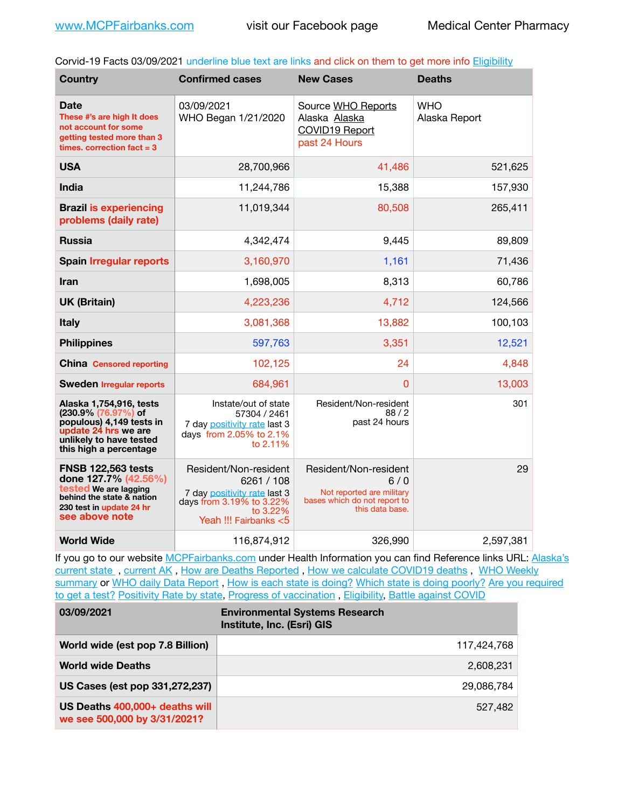Corvid-19 Facts 03/09/2021 underline blue text are links and click on them to get more info [Eligibility](http://dhss.alaska.gov/dph/Epi/id/Pages/COVID-19/VaccineAvailability.aspx)

| <b>Country</b>                                                                                                                                          | <b>Confirmed cases</b>                                                                                                                  | <b>New Cases</b>                                                                                             | <b>Deaths</b>               |
|---------------------------------------------------------------------------------------------------------------------------------------------------------|-----------------------------------------------------------------------------------------------------------------------------------------|--------------------------------------------------------------------------------------------------------------|-----------------------------|
| Date<br>These #'s are high It does<br>not account for some<br>getting tested more than 3<br>times. correction $fact = 3$                                | 03/09/2021<br>WHO Began 1/21/2020                                                                                                       | Source WHO Reports<br>Alaska Alaska<br><b>COVID19 Report</b><br>past 24 Hours                                | <b>WHO</b><br>Alaska Report |
| <b>USA</b>                                                                                                                                              | 28,700,966                                                                                                                              | 41,486                                                                                                       | 521,625                     |
| <b>India</b>                                                                                                                                            | 11,244,786                                                                                                                              | 15,388                                                                                                       | 157,930                     |
| <b>Brazil is experiencing</b><br>problems (daily rate)                                                                                                  | 11,019,344                                                                                                                              | 80,508                                                                                                       | 265,411                     |
| <b>Russia</b>                                                                                                                                           | 4.342.474                                                                                                                               | 9,445                                                                                                        | 89,809                      |
| <b>Spain Irregular reports</b>                                                                                                                          | 3,160,970                                                                                                                               | 1,161                                                                                                        | 71,436                      |
| <b>Iran</b>                                                                                                                                             | 1,698,005                                                                                                                               | 8,313                                                                                                        | 60,786                      |
| <b>UK (Britain)</b>                                                                                                                                     | 4,223,236                                                                                                                               | 4,712                                                                                                        | 124,566                     |
| <b>Italy</b>                                                                                                                                            | 3,081,368                                                                                                                               | 13,882                                                                                                       | 100,103                     |
| <b>Philippines</b>                                                                                                                                      | 597,763                                                                                                                                 | 3,351                                                                                                        | 12,521                      |
| <b>China</b> Censored reporting                                                                                                                         | 102,125                                                                                                                                 | 24                                                                                                           | 4,848                       |
| <b>Sweden Irregular reports</b>                                                                                                                         | 684,961                                                                                                                                 | $\Omega$                                                                                                     | 13,003                      |
| Alaska 1,754,916, tests<br>(230.9% (76.97%) of<br>populous) 4,149 tests in<br>update 24 hrs we are<br>unlikely to have tested<br>this high a percentage | Instate/out of state<br>57304 / 2461<br>7 day positivity rate last 3<br>days from 2.05% to 2.1%<br>to 2.11%                             | Resident/Non-resident<br>88/2<br>past 24 hours                                                               | 301                         |
| <b>FNSB 122,563 tests</b><br>done 127.7% (42.56%)<br>tested We are lagging<br>behind the state & nation<br>230 test in update 24 hr<br>see above note   | Resident/Non-resident<br>6261 / 108<br>7 day positivity rate last 3<br>days from 3.19% to 3.22%<br>to $3.22\%$<br>Yeah !!! Fairbanks <5 | Resident/Non-resident<br>6/0<br>Not reported are military<br>bases which do not report to<br>this data base. | 29                          |
| <b>World Wide</b>                                                                                                                                       | 116,874,912                                                                                                                             | 326,990                                                                                                      | 2,597,381                   |

If you go to our website [MCPFairbanks.com](http://www.MCPFairbanks.com) under Health Information you can find Reference links URL: Alaska's [current state](https://coronavirus-response-alaska-dhss.hub.arcgis.com) , [current AK](http://dhss.alaska.gov/dph/Epi/id/Pages/COVID-19/communications.aspx#cases) , [How are Deaths Reported](http://dhss.alaska.gov/dph/Epi/id/Pages/COVID-19/deathcounts.aspx) , [How we calculate COVID19 deaths](https://coronavirus-response-alaska-dhss.hub.arcgis.com/search?collection=Document&groupIds=41ccb3344ebc4bd682c74073eba21f42) , [WHO Weekly](http://www.who.int)  [summary](http://www.who.int) or [WHO daily Data Report](https://covid19.who.int/table), [How is each state is doing?](https://www.msn.com/en-us/news/us/state-by-state-coronavirus-news/ar-BB13E1PX?fbclid=IwAR0_OBJH7lSyTN3ug_MsOeFnNgB1orTa9OBgilKJ7dhnwlVvHEsptuKkj1c) [Which state is doing poorly?](https://bestlifeonline.com/covid-outbreak-your-state/?utm_source=nsltr&utm_medium=email&utm_content=covid-outbreak-your-state&utm_campaign=launch) Are you required [to get a test?](http://dhss.alaska.gov/dph/Epi/id/SiteAssets/Pages/HumanCoV/Whattodoafteryourtest.pdf) [Positivity Rate by state](https://coronavirus.jhu.edu/testing/individual-states/alaska), [Progress of vaccination](https://covid.cdc.gov/covid-data-tracker/#vaccinations), [Eligibility,](http://dhss.alaska.gov/dph/Epi/id/Pages/COVID-19/VaccineAvailability.aspx) [Battle against COVID](https://www.nationalgeographic.com/science/graphics/graphic-tracking-coronavirus-infections-us?cmpid=org=ngp::mc=crm-email::src=ngp::cmp=editorial::add=SpecialEdition_20210219&rid=B9A6DF5992658E8E35CE023113CFEA4C)

| 03/09/2021                                                     | <b>Environmental Systems Research</b><br>Institute, Inc. (Esri) GIS |
|----------------------------------------------------------------|---------------------------------------------------------------------|
| World wide (est pop 7.8 Billion)                               | 117,424,768                                                         |
| <b>World wide Deaths</b>                                       | 2,608,231                                                           |
| US Cases (est pop 331,272,237)                                 | 29.086.784                                                          |
| US Deaths 400,000+ deaths will<br>we see 500,000 by 3/31/2021? | 527,482                                                             |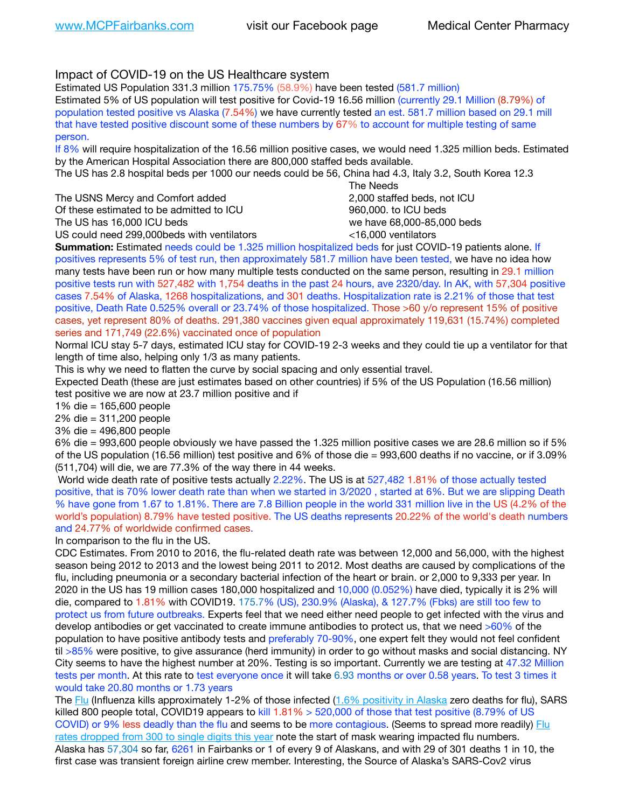## Impact of COVID-19 on the US Healthcare system

Estimated US Population 331.3 million 175.75% (58.9%) have been tested (581.7 million)

Estimated 5% of US population will test positive for Covid-19 16.56 million (currently 29.1 Million (8.79%) of population tested positive vs Alaska (7.54%) we have currently tested an est. 581.7 million based on 29.1 mill that have tested positive discount some of these numbers by 67% to account for multiple testing of same person.

If 8% will require hospitalization of the 16.56 million positive cases, we would need 1.325 million beds. Estimated by the American Hospital Association there are 800,000 staffed beds available.

The US has 2.8 hospital beds per 1000 our needs could be 56, China had 4.3, Italy 3.2, South Korea 12.3

The USNS Mercy and Comfort added **8.2000** staffed beds, not ICU Of these estimated to be admitted to ICU 960,000, to ICU beds The US has 16,000 ICU beds we have 68,000-85,000 beds US could need 299,000 beds with ventilators  $\leq 16,000$  ventilators

 The Needs

**Summation:** Estimated needs could be 1.325 million hospitalized beds for just COVID-19 patients alone. If positives represents 5% of test run, then approximately 581.7 million have been tested, we have no idea how many tests have been run or how many multiple tests conducted on the same person, resulting in 29.1 million positive tests run with 527,482 with 1,754 deaths in the past 24 hours, ave 2320/day. In AK, with 57,304 positive cases 7.54% of Alaska, 1268 hospitalizations, and 301 deaths. Hospitalization rate is 2.21% of those that test positive, Death Rate 0.525% overall or 23.74% of those hospitalized. Those >60 y/o represent 15% of positive cases, yet represent 80% of deaths. 291,380 vaccines given equal approximately 119,631 (15.74%) completed series and 171,749 (22.6%) vaccinated once of population

Normal ICU stay 5-7 days, estimated ICU stay for COVID-19 2-3 weeks and they could tie up a ventilator for that length of time also, helping only 1/3 as many patients.

This is why we need to flatten the curve by social spacing and only essential travel.

Expected Death (these are just estimates based on other countries) if 5% of the US Population (16.56 million) test positive we are now at 23.7 million positive and if

1% die = 165,600 people

2% die = 311,200 people

3% die = 496,800 people

6% die = 993,600 people obviously we have passed the 1.325 million positive cases we are 28.6 million so if 5% of the US population (16.56 million) test positive and 6% of those die = 993,600 deaths if no vaccine, or if 3.09% (511,704) will die, we are 77.3% of the way there in 44 weeks.

 World wide death rate of positive tests actually 2.22%. The US is at 527,482 1.81% of those actually tested positive, that is 70% lower death rate than when we started in 3/2020 , started at 6%. But we are slipping Death % have gone from 1.67 to 1.81%. There are 7.8 Billion people in the world 331 million live in the US (4.2% of the world's population) 8.79% have tested positive. The US deaths represents 20.22% of the world's death numbers and 24.77% of worldwide confirmed cases.

In comparison to the flu in the US.

CDC Estimates. From 2010 to 2016, the flu-related death rate was between 12,000 and 56,000, with the highest season being 2012 to 2013 and the lowest being 2011 to 2012. Most deaths are caused by complications of the flu, including pneumonia or a secondary bacterial infection of the heart or brain. or 2,000 to 9,333 per year. In 2020 in the US has 19 million cases 180,000 hospitalized and 10,000 (0.052%) have died, typically it is 2% will die, compared to 1.81% with COVID19. 175.7% (US), 230.9% (Alaska), & 127.7% (Fbks) are still too few to protect us from future outbreaks. Experts feel that we need either need people to get infected with the virus and develop antibodies or get vaccinated to create immune antibodies to protect us, that we need >60% of the population to have positive antibody tests and preferably 70-90%, one expert felt they would not feel confident til >85% were positive, to give assurance (herd immunity) in order to go without masks and social distancing. NY City seems to have the highest number at 20%. Testing is so important. Currently we are testing at 47.32 Million tests per month. At this rate to test everyone once it will take 6.93 months or over 0.58 years. To test 3 times it would take 20.80 months or 1.73 years

The [Flu](https://lnks.gd/l/eyJhbGciOiJIUzI1NiJ9.eyJidWxsZXRpbl9saW5rX2lkIjoxMDMsInVyaSI6ImJwMjpjbGljayIsImJ1bGxldGluX2lkIjoiMjAyMTAyMjYuMzYwNDA3NTEiLCJ1cmwiOiJodHRwczovL3d3dy5jZGMuZ292L2ZsdS93ZWVrbHkvb3ZlcnZpZXcuaHRtIn0.ePMA_hsZ-pTnhWSyg1gHvHWYTu2XceVOt0JejxvP1WE/s/500544915/br/98428119752-l) (Influenza kills approximately 1-2% of those infected ([1.6% positivity in Alaska](http://dhss.alaska.gov/dph/Epi/id/SiteAssets/Pages/influenza/trends/Snapshot.pdf) zero deaths for flu), SARS killed 800 people total, COVID19 appears to kill 1.81% > 520,000 of those that test positive (8.79% of US COVID) or 9% less deadly than the flu and seems to be more contagious. (Seems to spread more readily) Flu [rates dropped from 300 to single digits this year](https://lnks.gd/l/eyJhbGciOiJIUzI1NiJ9.eyJidWxsZXRpbl9saW5rX2lkIjoxMDEsInVyaSI6ImJwMjpjbGljayIsImJ1bGxldGluX2lkIjoiMjAyMTAyMjYuMzYwNDA3NTEiLCJ1cmwiOiJodHRwOi8vZGhzcy5hbGFza2EuZ292L2RwaC9FcGkvaWQvUGFnZXMvaW5mbHVlbnphL2ZsdWluZm8uYXNweCJ9.oOe3nt2fww6XpsNhb4FZfmtPfPa-irGaldpkURBJhSo/s/500544915/br/98428119752-l) note the start of mask wearing impacted flu numbers. Alaska has 57,304 so far, 6261 in Fairbanks or 1 of every 9 of Alaskans, and with 29 of 301 deaths 1 in 10, the first case was transient foreign airline crew member. Interesting, the Source of Alaska's SARS-Cov2 virus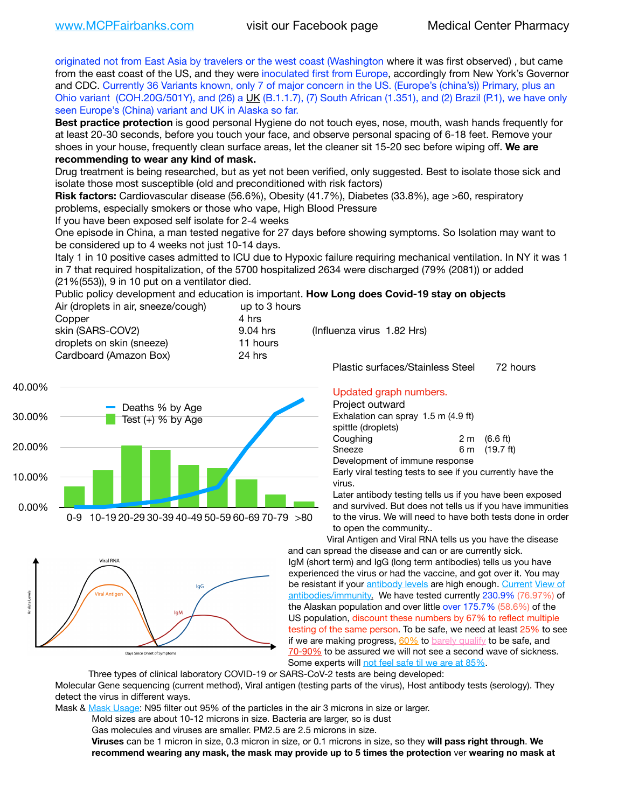originated not from East Asia by travelers or the west coast (Washington where it was first observed) , but came from the east coast of the US, and they were inoculated first from Europe, accordingly from New York's Governor and CDC. Currently 36 Variants known, only 7 of major concern in the US. (Europe's (china's)) Primary, plus an Ohio variant (COH.20G/501Y), and (26) a [UK](https://www.cdc.gov/coronavirus/2019-ncov/transmission/variant-cases.html) (B.1.1.7), (7) South African (1.351), and (2) Brazil (P.1), we have only seen Europe's (China) variant and UK in Alaska so far.

**Best practice protection** is good personal Hygiene do not touch eyes, nose, mouth, wash hands frequently for at least 20-30 seconds, before you touch your face, and observe personal spacing of 6-18 feet. Remove your shoes in your house, frequently clean surface areas, let the cleaner sit 15-20 sec before wiping off. **We are recommending to wear any kind of mask.**

Drug treatment is being researched, but as yet not been verified, only suggested. Best to isolate those sick and isolate those most susceptible (old and preconditioned with risk factors)

**Risk factors:** Cardiovascular disease (56.6%), Obesity (41.7%), Diabetes (33.8%), age >60, respiratory problems, especially smokers or those who vape, High Blood Pressure

If you have been exposed self isolate for 2-4 weeks

One episode in China, a man tested negative for 27 days before showing symptoms. So Isolation may want to be considered up to 4 weeks not just 10-14 days.

Italy 1 in 10 positive cases admitted to ICU due to Hypoxic failure requiring mechanical ventilation. In NY it was 1 in 7 that required hospitalization, of the 5700 hospitalized 2634 were discharged (79% (2081)) or added (21%(553)), 9 in 10 put on a ventilator died.

Public policy development and education is important. **How Long does Covid-19 stay on objects** Air (droplets in air, sneeze/cough) up to 3 hours Copper 4 hrs

skin (SARS-COV2) 9.04 hrs (Influenza virus 1.82 Hrs) droplets on skin (sneeze) 11 hours Cardboard (Amazon Box) 24 hrs





Plastic surfaces/Stainless Steel 72 hours

### Updated graph numbers.

Project outward

| .                                   |  |                        |  |
|-------------------------------------|--|------------------------|--|
| Exhalation can spray 1.5 m (4.9 ft) |  |                        |  |
| spittle (droplets)                  |  |                        |  |
| Coughing                            |  | $2 \text{ m}$ (6.6 ft) |  |
| Sneeze                              |  | 6 m (19.7 ft)          |  |
| Development of immune response      |  |                        |  |
|                                     |  |                        |  |

Early viral testing tests to see if you currently have the virus.

Later antibody testing tells us if you have been exposed and survived. But does not tells us if you have immunities to the virus. We will need to have both tests done in order to open the community..

Viral Antigen and Viral RNA tells us you have the disease and can spread the disease and can or are currently sick. IgM (short term) and IgG (long term antibodies) tells us you have experienced the virus or had the vaccine, and got over it. You may be resistant if your [antibody levels](https://www.cdc.gov/coronavirus/2019-ncov/lab/resources/antibody-tests.html) are high enough. [Current](https://l.facebook.com/l.php?u=https://www.itv.com/news/2020-10-26/covid-19-antibody-levels-reduce-over-time-study-finds?fbclid=IwAR3Dapzh1qIH1EIOdUQI2y8THf7jfA4KBCaJz8Qg-8xe1YsrR4nsAHDIXSY&h=AT30nut8pkqp0heVuz5W2rT2WFFm-2Ab52BsJxZZCNlGsX58IpPkuVEPULbIUV_M16MAukx1Kwb657DPXxsgDN1rpOQ4gqBtQsmVYiWpnHPJo2RQsU6CPMd14lgLnQnFWxfVi6zvmw&__tn__=-UK-R&c%5B0%5D=AT1GaRAfR_nGAyqcn7TI1-PpvqOqEKXHnz6TDWvRStMnOSH7boQDvTiwTOc6VId9UES6LKiOmm2m88wKCoolkJyOFvakt2Z1Mw8toYWGGoWW23r0MNVBl7cYJXB_UOvGklNHaNnaNr1_S7NhT3BSykNOBg) View of [antibodies/immunity](https://www.livescience.com/antibodies.html)[.](https://www.itv.com/news/2020-10-26/covid-19-antibody-levels-reduce-over-time-study-finds) We have tested currently 230.9% (76.97%) of the Alaskan population and over little over 175.7% (58.6%) of the US population, discount these numbers by 67% to reflect multiple testing of the same person. To be safe, we need at least 25% to see if we are making progress,  $60\%$  to [barely qualify](https://www.nature.com/articles/d41586-020-02948-4) to be safe, and [70-90%](https://www.mayoclinic.org/herd-immunity-and-coronavirus/art-20486808) to be assured we will not see a second wave of sickness. Some experts will [not feel safe til we are at 85%](https://www.bannerhealth.com/healthcareblog/teach-me/what-is-herd-immunity).

Three types of clinical laboratory COVID-19 or SARS-CoV-2 tests are being developed:

Molecular Gene sequencing (current method), Viral antigen (testing parts of the virus), Host antibody tests (serology). They detect the virus in different ways.

Mask & [Mask Usage:](https://www.nationalgeographic.com/history/2020/03/how-cities-flattened-curve-1918-spanish-flu-pandemic-coronavirus/) N95 filter out 95% of the particles in the air 3 microns in size or larger.

Mold sizes are about 10-12 microns in size. Bacteria are larger, so is dust

Gas molecules and viruses are smaller. PM2.5 are 2.5 microns in size.

**Viruses** can be 1 micron in size, 0.3 micron in size, or 0.1 microns in size, so they **will pass right through**. **We recommend wearing any mask, the mask may provide up to 5 times the protection** ver **wearing no mask at**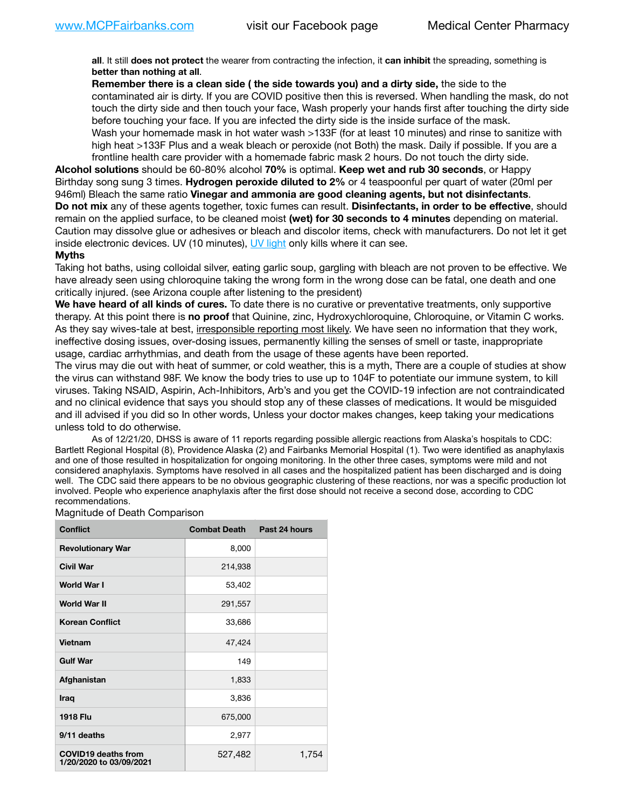**all**. It still **does not protect** the wearer from contracting the infection, it **can inhibit** the spreading, something is **better than nothing at all**.

**Remember there is a clean side ( the side towards you) and a dirty side,** the side to the contaminated air is dirty. If you are COVID positive then this is reversed. When handling the mask, do not touch the dirty side and then touch your face, Wash properly your hands first after touching the dirty side before touching your face. If you are infected the dirty side is the inside surface of the mask. Wash your homemade mask in hot water wash >133F (for at least 10 minutes) and rinse to sanitize with high heat >133F Plus and a weak bleach or peroxide (not Both) the mask. Daily if possible. If you are a frontline health care provider with a homemade fabric mask 2 hours. Do not touch the dirty side.

**Alcohol solutions** should be 60-80% alcohol **70%** is optimal. **Keep wet and rub 30 seconds**, or Happy Birthday song sung 3 times. **Hydrogen peroxide diluted to 2%** or 4 teaspoonful per quart of water (20ml per 946ml) Bleach the same ratio **Vinegar and ammonia are good cleaning agents, but not disinfectants**. **Do not mix** any of these agents together, toxic fumes can result. **Disinfectants, in order to be effective**, should remain on the applied surface, to be cleaned moist **(wet) for 30 seconds to 4 minutes** depending on material. Caution may dissolve glue or adhesives or bleach and discolor items, check with manufacturers. Do not let it get inside electronic devices. UV (10 minutes), [UV light](http://www.docreviews.me/best-uv-boxes-2020/?fbclid=IwAR3bvFtXB48OoBBSvYvTEnKuHNPbipxM6jUo82QUSw9wckxjC7wwRZWabGw) only kills where it can see.

#### **Myths**

Taking hot baths, using colloidal silver, eating garlic soup, gargling with bleach are not proven to be effective. We have already seen using chloroquine taking the wrong form in the wrong dose can be fatal, one death and one critically injured. (see Arizona couple after listening to the president)

**We have heard of all kinds of cures.** To date there is no curative or preventative treatments, only supportive therapy. At this point there is **no proof** that Quinine, zinc, Hydroxychloroquine, Chloroquine, or Vitamin C works. As they say wives-tale at best, irresponsible reporting most likely. We have seen no information that they work, ineffective dosing issues, over-dosing issues, permanently killing the senses of smell or taste, inappropriate usage, cardiac arrhythmias, and death from the usage of these agents have been reported.

The virus may die out with heat of summer, or cold weather, this is a myth, There are a couple of studies at show the virus can withstand 98F. We know the body tries to use up to 104F to potentiate our immune system, to kill viruses. Taking NSAID, Aspirin, Ach-Inhibitors, Arb's and you get the COVID-19 infection are not contraindicated and no clinical evidence that says you should stop any of these classes of medications. It would be misguided and ill advised if you did so In other words, Unless your doctor makes changes, keep taking your medications unless told to do otherwise.

As of 12/21/20, DHSS is aware of 11 reports regarding possible allergic reactions from Alaska's hospitals to CDC: Bartlett Regional Hospital (8), Providence Alaska (2) and Fairbanks Memorial Hospital (1). Two were identified as anaphylaxis and one of those resulted in hospitalization for ongoing monitoring. In the other three cases, symptoms were mild and not considered anaphylaxis. Symptoms have resolved in all cases and the hospitalized patient has been discharged and is doing well. The CDC said there appears to be no obvious geographic clustering of these reactions, nor was a specific production lot involved. People who experience anaphylaxis after the first dose should not receive a second dose, according to CDC recommendations.

#### Magnitude of Death Comparison

| <b>Conflict</b>                                       | <b>Combat Death</b> | Past 24 hours |
|-------------------------------------------------------|---------------------|---------------|
| <b>Revolutionary War</b>                              | 8,000               |               |
| <b>Civil War</b>                                      | 214,938             |               |
| World War I                                           | 53,402              |               |
| <b>World War II</b>                                   | 291,557             |               |
| <b>Korean Conflict</b>                                | 33,686              |               |
| Vietnam                                               | 47,424              |               |
| <b>Gulf War</b>                                       | 149                 |               |
| Afghanistan                                           | 1,833               |               |
| Iraq                                                  | 3,836               |               |
| <b>1918 Flu</b>                                       | 675,000             |               |
| 9/11 deaths                                           | 2,977               |               |
| <b>COVID19 deaths from</b><br>1/20/2020 to 03/09/2021 | 527,482             | 1,754         |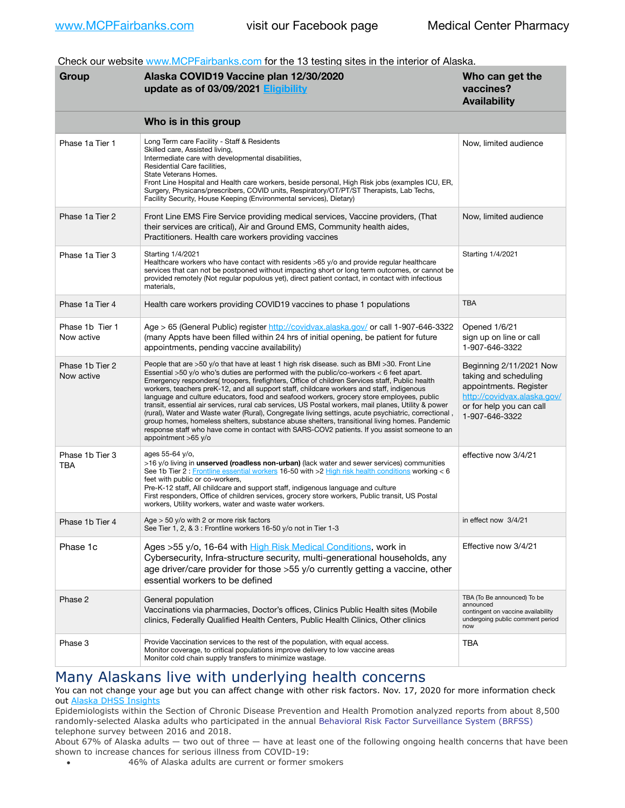Check our website [www.MCPFairbanks.com](http://www.MCPFairbanks.com) for the 13 testing sites in the interior of Alaska.

| Group                         | Alaska COVID19 Vaccine plan 12/30/2020<br>update as of 03/09/2021 Eligibility                                                                                                                                                                                                                                                                                                                                                                                                                                                                                                                                                                                                                                                                                                                                                                                                                                              | Who can get the<br>vaccines?<br><b>Availability</b>                                                                                                     |
|-------------------------------|----------------------------------------------------------------------------------------------------------------------------------------------------------------------------------------------------------------------------------------------------------------------------------------------------------------------------------------------------------------------------------------------------------------------------------------------------------------------------------------------------------------------------------------------------------------------------------------------------------------------------------------------------------------------------------------------------------------------------------------------------------------------------------------------------------------------------------------------------------------------------------------------------------------------------|---------------------------------------------------------------------------------------------------------------------------------------------------------|
|                               | Who is in this group                                                                                                                                                                                                                                                                                                                                                                                                                                                                                                                                                                                                                                                                                                                                                                                                                                                                                                       |                                                                                                                                                         |
| Phase 1a Tier 1               | Long Term care Facility - Staff & Residents<br>Skilled care, Assisted living,<br>Intermediate care with developmental disabilities,<br>Residential Care facilities,<br>State Veterans Homes.<br>Front Line Hospital and Health care workers, beside personal, High Risk jobs (examples ICU, ER,<br>Surgery, Physicans/prescribers, COVID units, Respiratory/OT/PT/ST Therapists, Lab Techs,<br>Facility Security, House Keeping (Environmental services), Dietary)                                                                                                                                                                                                                                                                                                                                                                                                                                                         | Now, limited audience                                                                                                                                   |
| Phase 1a Tier 2               | Front Line EMS Fire Service providing medical services, Vaccine providers, (That<br>their services are critical), Air and Ground EMS, Community health aides,<br>Practitioners. Health care workers providing vaccines                                                                                                                                                                                                                                                                                                                                                                                                                                                                                                                                                                                                                                                                                                     | Now, limited audience                                                                                                                                   |
| Phase 1a Tier 3               | Starting 1/4/2021<br>Healthcare workers who have contact with residents >65 y/o and provide regular healthcare<br>services that can not be postponed without impacting short or long term outcomes, or cannot be<br>provided remotely (Not regular populous yet), direct patient contact, in contact with infectious<br>materials.                                                                                                                                                                                                                                                                                                                                                                                                                                                                                                                                                                                         | Starting 1/4/2021                                                                                                                                       |
| Phase 1a Tier 4               | Health care workers providing COVID19 vaccines to phase 1 populations                                                                                                                                                                                                                                                                                                                                                                                                                                                                                                                                                                                                                                                                                                                                                                                                                                                      | <b>TBA</b>                                                                                                                                              |
| Phase 1b Tier 1<br>Now active | Age > 65 (General Public) register http://covidvax.alaska.gov/ or call 1-907-646-3322<br>(many Appts have been filled within 24 hrs of initial opening, be patient for future<br>appointments, pending vaccine availability)                                                                                                                                                                                                                                                                                                                                                                                                                                                                                                                                                                                                                                                                                               | Opened 1/6/21<br>sign up on line or call<br>1-907-646-3322                                                                                              |
| Phase 1b Tier 2<br>Now active | People that are >50 y/o that have at least 1 high risk disease. such as BMI >30. Front Line<br>Essential >50 y/o who's duties are performed with the public/co-workers < 6 feet apart.<br>Emergency responders(troopers, firefighters, Office of children Services staff, Public health<br>workers, teachers preK-12, and all support staff, childcare workers and staff, indigenous<br>language and culture educators, food and seafood workers, grocery store employees, public<br>transit, essential air services, rural cab services, US Postal workers, mail planes, Utility & power<br>(rural), Water and Waste water (Rural), Congregate living settings, acute psychiatric, correctional<br>group homes, homeless shelters, substance abuse shelters, transitional living homes. Pandemic<br>response staff who have come in contact with SARS-COV2 patients. If you assist someone to an<br>appointment $>65$ y/o | Beginning 2/11/2021 Now<br>taking and scheduling<br>appointments. Register<br>http://covidvax.alaska.gov/<br>or for help you can call<br>1-907-646-3322 |
| Phase 1b Tier 3<br>TBA        | ages 55-64 y/o,<br>>16 y/o living in <b>unserved (roadless non-urban)</b> (lack water and sewer services) communities<br>See 1b Tier 2 : Frontline essential workers 16-50 with >2 High risk health conditions working < 6<br>feet with public or co-workers,<br>Pre-K-12 staff, All childcare and support staff, indigenous language and culture<br>First responders, Office of children services, grocery store workers, Public transit, US Postal<br>workers, Utility workers, water and waste water workers.                                                                                                                                                                                                                                                                                                                                                                                                           | effective now 3/4/21                                                                                                                                    |
| Phase 1b Tier 4               | Age $>$ 50 y/o with 2 or more risk factors<br>See Tier 1, 2, & 3 : Frontline workers 16-50 y/o not in Tier 1-3                                                                                                                                                                                                                                                                                                                                                                                                                                                                                                                                                                                                                                                                                                                                                                                                             | in effect now 3/4/21                                                                                                                                    |
| Phase 1c                      | Ages >55 y/o, 16-64 with High Risk Medical Conditions, work in<br>Cybersecurity, Infra-structure security, multi-generational households, any<br>age driver/care provider for those >55 y/o currently getting a vaccine, other<br>essential workers to be defined                                                                                                                                                                                                                                                                                                                                                                                                                                                                                                                                                                                                                                                          | Effective now 3/4/21                                                                                                                                    |
| Phase 2                       | General population<br>Vaccinations via pharmacies, Doctor's offices, Clinics Public Health sites (Mobile<br>clinics, Federally Qualified Health Centers, Public Health Clinics, Other clinics                                                                                                                                                                                                                                                                                                                                                                                                                                                                                                                                                                                                                                                                                                                              | TBA (To Be announced) To be<br>announced<br>contingent on vaccine availability<br>undergoing public comment period<br>now                               |
| Phase 3                       | Provide Vaccination services to the rest of the population, with equal access.<br>Monitor coverage, to critical populations improve delivery to low vaccine areas<br>Monitor cold chain supply transfers to minimize wastage.                                                                                                                                                                                                                                                                                                                                                                                                                                                                                                                                                                                                                                                                                              | TBA                                                                                                                                                     |

# Many Alaskans live with underlying health concerns

You can not change your age but you can affect change with other risk factors. Nov. 17, 2020 for more information check out [Alaska DHSS Insights](http://dhss.alaska.gov/dph/Epi/id/Pages/COVID-19/blog/20201117.aspx)

Epidemiologists within the Section of Chronic Disease Prevention and Health Promotion analyzed reports from about 8,500 randomly-selected Alaska adults who participated in the annual [Behavioral Risk Factor Surveillance System \(BRFSS\)](http://dhss.alaska.gov/dph/Chronic/Pages/brfss/default.aspx) telephone survey between 2016 and 2018.

About 67% of Alaska adults — two out of three — have at least one of the following ongoing health concerns that have been shown to increase chances for serious illness from COVID-19:

• 46% of Alaska adults are current or former smokers